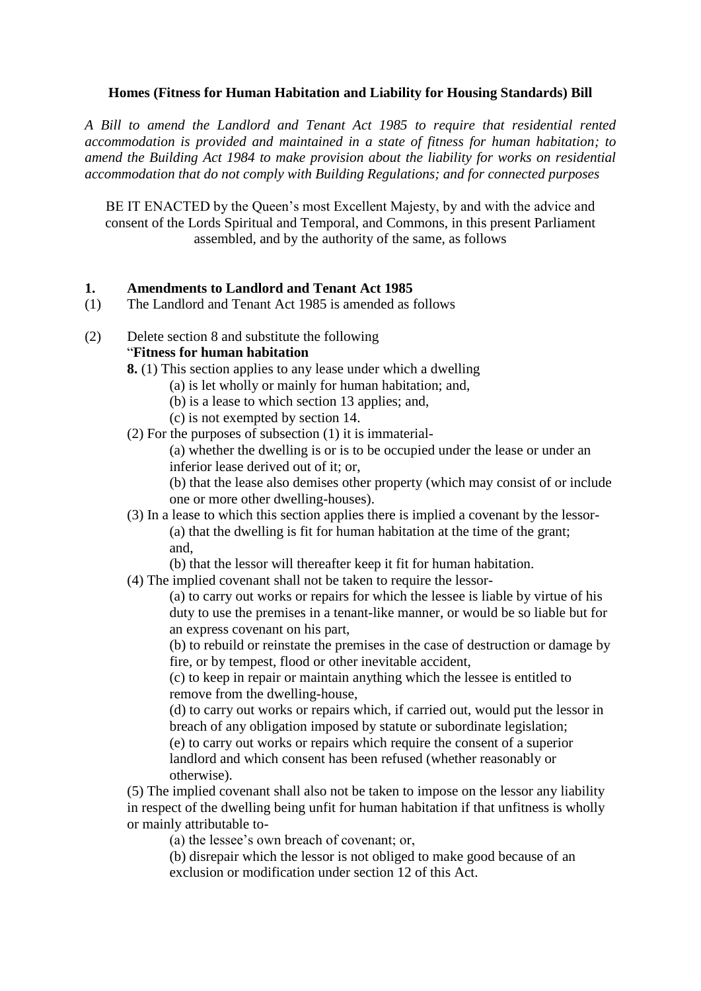## **Homes (Fitness for Human Habitation and Liability for Housing Standards) Bill**

*A Bill to amend the Landlord and Tenant Act 1985 to require that residential rented accommodation is provided and maintained in a state of fitness for human habitation; to amend the Building Act 1984 to make provision about the liability for works on residential accommodation that do not comply with Building Regulations; and for connected purposes*

BE IT ENACTED by the Queen's most Excellent Majesty, by and with the advice and consent of the Lords Spiritual and Temporal, and Commons, in this present Parliament assembled, and by the authority of the same, as follows

### **1. Amendments to Landlord and Tenant Act 1985**

- (1) The Landlord and Tenant Act 1985 is amended as follows
- (2) Delete section 8 and substitute the following "**Fitness for human habitation**
	- **8.** (1) This section applies to any lease under which a dwelling
		- (a) is let wholly or mainly for human habitation; and,
			- (b) is a lease to which section 13 applies; and,
		- (c) is not exempted by section 14.
	- (2) For the purposes of subsection (1) it is immaterial-

(a) whether the dwelling is or is to be occupied under the lease or under an inferior lease derived out of it; or,

(b) that the lease also demises other property (which may consist of or include one or more other dwelling-houses).

(3) In a lease to which this section applies there is implied a covenant by the lessor- (a) that the dwelling is fit for human habitation at the time of the grant; and,

(b) that the lessor will thereafter keep it fit for human habitation.

(4) The implied covenant shall not be taken to require the lessor-

(a) to carry out works or repairs for which the lessee is liable by virtue of his duty to use the premises in a tenant-like manner, or would be so liable but for an express covenant on his part,

(b) to rebuild or reinstate the premises in the case of destruction or damage by fire, or by tempest, flood or other inevitable accident,

(c) to keep in repair or maintain anything which the lessee is entitled to remove from the dwelling-house,

(d) to carry out works or repairs which, if carried out, would put the lessor in breach of any obligation imposed by statute or subordinate legislation;

(e) to carry out works or repairs which require the consent of a superior landlord and which consent has been refused (whether reasonably or otherwise).

(5) The implied covenant shall also not be taken to impose on the lessor any liability in respect of the dwelling being unfit for human habitation if that unfitness is wholly or mainly attributable to-

(a) the lessee's own breach of covenant; or,

(b) disrepair which the lessor is not obliged to make good because of an exclusion or modification under section 12 of this Act.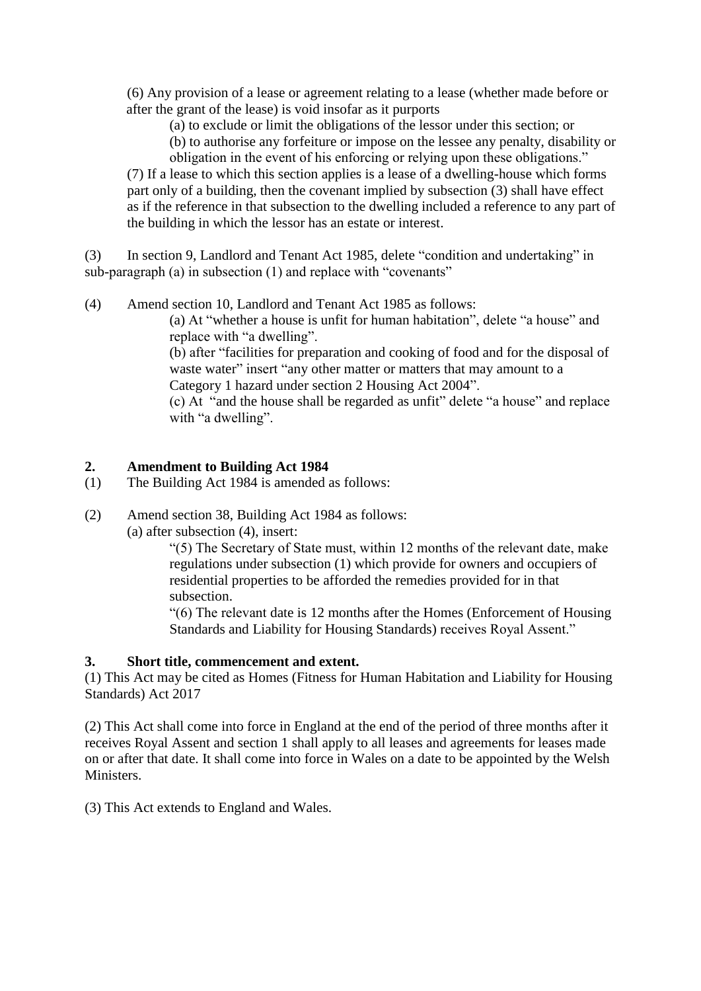(6) Any provision of a lease or agreement relating to a lease (whether made before or after the grant of the lease) is void insofar as it purports

(a) to exclude or limit the obligations of the lessor under this section; or

(b) to authorise any forfeiture or impose on the lessee any penalty, disability or obligation in the event of his enforcing or relying upon these obligations."

(7) If a lease to which this section applies is a lease of a dwelling-house which forms part only of a building, then the covenant implied by subsection (3) shall have effect as if the reference in that subsection to the dwelling included a reference to any part of the building in which the lessor has an estate or interest.

(3) In section 9, Landlord and Tenant Act 1985, delete "condition and undertaking" in sub-paragraph (a) in subsection (1) and replace with "covenants"

(4) Amend section 10, Landlord and Tenant Act 1985 as follows:

(a) At "whether a house is unfit for human habitation", delete "a house" and replace with "a dwelling".

(b) after "facilities for preparation and cooking of food and for the disposal of waste water" insert "any other matter or matters that may amount to a Category 1 hazard under section 2 Housing Act 2004".

(c) At "and the house shall be regarded as unfit" delete "a house" and replace with "a dwelling".

# **2. Amendment to Building Act 1984**

- (1) The Building Act 1984 is amended as follows:
- (2) Amend section 38, Building Act 1984 as follows:

(a) after subsection (4), insert:

"(5) The Secretary of State must, within 12 months of the relevant date, make regulations under subsection (1) which provide for owners and occupiers of residential properties to be afforded the remedies provided for in that subsection.

"(6) The relevant date is 12 months after the Homes (Enforcement of Housing Standards and Liability for Housing Standards) receives Royal Assent."

# **3. Short title, commencement and extent.**

(1) This Act may be cited as Homes (Fitness for Human Habitation and Liability for Housing Standards) Act 2017

(2) This Act shall come into force in England at the end of the period of three months after it receives Royal Assent and section 1 shall apply to all leases and agreements for leases made on or after that date. It shall come into force in Wales on a date to be appointed by the Welsh Ministers.

(3) This Act extends to England and Wales.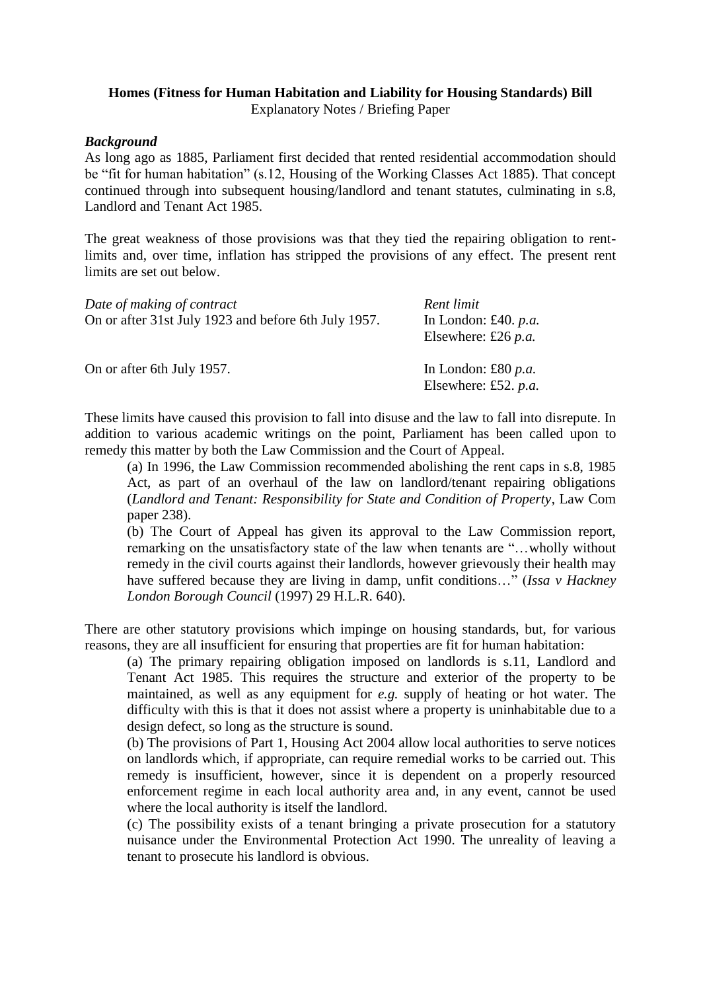# **Homes (Fitness for Human Habitation and Liability for Housing Standards) Bill**

Explanatory Notes / Briefing Paper

## *Background*

As long ago as 1885, Parliament first decided that rented residential accommodation should be "fit for human habitation" (s.12, Housing of the Working Classes Act 1885). That concept continued through into subsequent housing/landlord and tenant statutes, culminating in s.8, Landlord and Tenant Act 1985.

The great weakness of those provisions was that they tied the repairing obligation to rentlimits and, over time, inflation has stripped the provisions of any effect. The present rent limits are set out below.

| Date of making of contract<br>On or after 31st July 1923 and before 6th July 1957. | Rent limit<br>In London: £40. $p.a.$<br>Elsewhere: £26 $p.a$ . |
|------------------------------------------------------------------------------------|----------------------------------------------------------------|
| On or after 6th July 1957.                                                         | In London: £80 $p.a$ .<br>Elsewhere: £52. $p.a.$               |

These limits have caused this provision to fall into disuse and the law to fall into disrepute. In addition to various academic writings on the point, Parliament has been called upon to remedy this matter by both the Law Commission and the Court of Appeal.

(a) In 1996, the Law Commission recommended abolishing the rent caps in s.8, 1985 Act, as part of an overhaul of the law on landlord/tenant repairing obligations (*Landlord and Tenant: Responsibility for State and Condition of Property*, Law Com paper 238).

(b) The Court of Appeal has given its approval to the Law Commission report, remarking on the unsatisfactory state of the law when tenants are "…wholly without remedy in the civil courts against their landlords, however grievously their health may have suffered because they are living in damp, unfit conditions…" (*Issa v Hackney London Borough Council* (1997) 29 H.L.R. 640).

There are other statutory provisions which impinge on housing standards, but, for various reasons, they are all insufficient for ensuring that properties are fit for human habitation:

(a) The primary repairing obligation imposed on landlords is s.11, Landlord and Tenant Act 1985. This requires the structure and exterior of the property to be maintained, as well as any equipment for *e.g.* supply of heating or hot water. The difficulty with this is that it does not assist where a property is uninhabitable due to a design defect, so long as the structure is sound.

(b) The provisions of Part 1, Housing Act 2004 allow local authorities to serve notices on landlords which, if appropriate, can require remedial works to be carried out. This remedy is insufficient, however, since it is dependent on a properly resourced enforcement regime in each local authority area and, in any event, cannot be used where the local authority is itself the landlord.

(c) The possibility exists of a tenant bringing a private prosecution for a statutory nuisance under the Environmental Protection Act 1990. The unreality of leaving a tenant to prosecute his landlord is obvious.